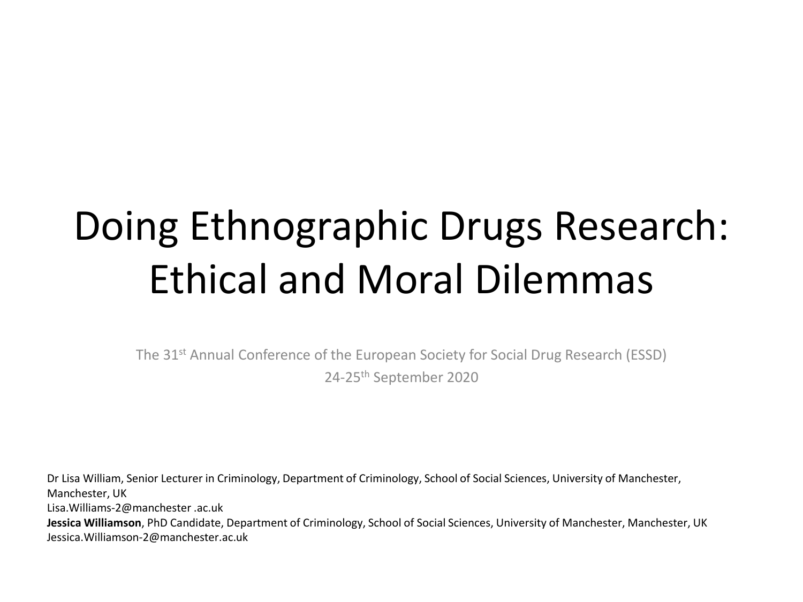### Doing Ethnographic Drugs Research: Ethical and Moral Dilemmas

The 31<sup>st</sup> Annual Conference of the European Society for Social Drug Research (ESSD) 24-25th September 2020

Dr Lisa William, Senior Lecturer in Criminology, Department of Criminology, School of Social Sciences, University of Manchester, Manchester, UK Lisa.Williams-2@manchester .ac.uk **Jessica Williamson**, PhD Candidate, Department of Criminology, School of Social Sciences, University of Manchester, Manchester, UK Jessica.Williamson-2@manchester.ac.uk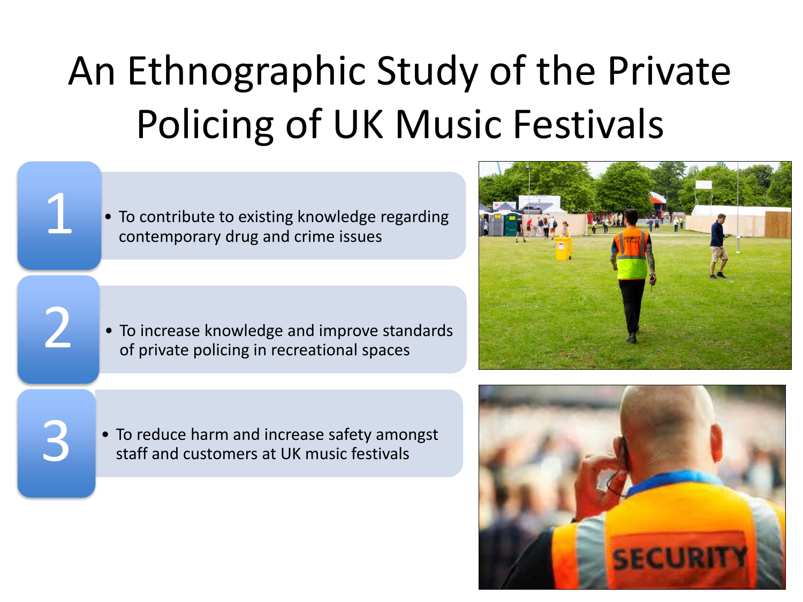# An Ethnographic Study of the Private Policing of UK Music Festivals

• To contribute to existing knowledge regarding contemporary drug and crime issues

• To increase knowledge and improve standards<br>of private policing in recreational spaces



• To reduce harm and increase safety amongst<br>3 staff and customers at UK music festivals

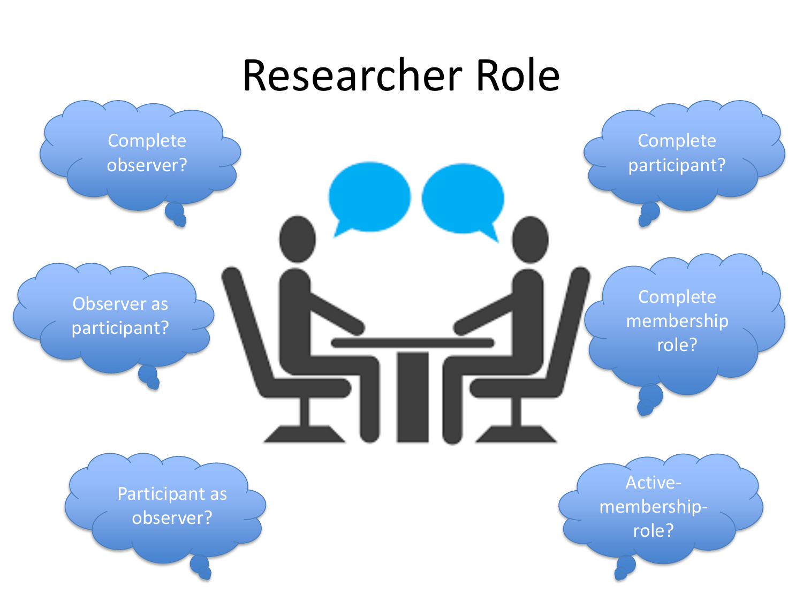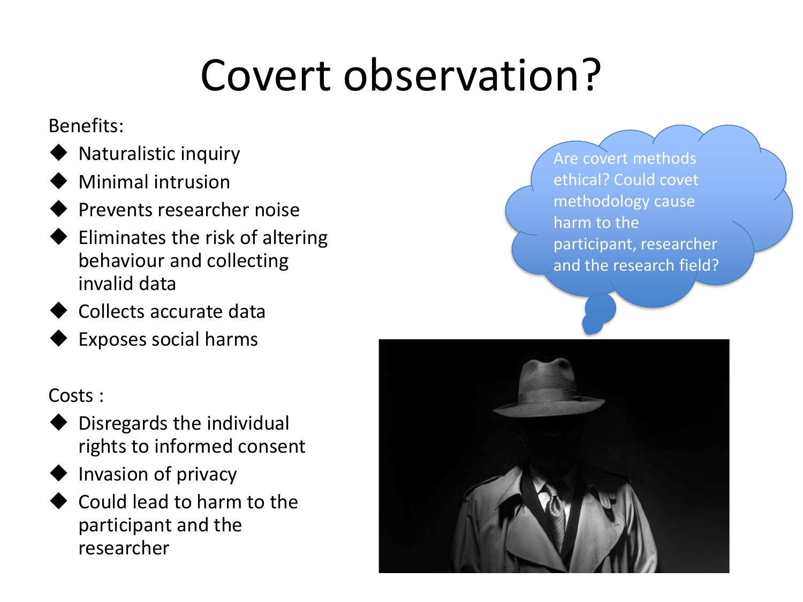# Covert observation?

#### Benefits:

- Naturalistic inquiry
- **Minimal intrusion**
- **Prevents researcher noise**
- ◆ Eliminates the risk of altering behaviour and collecting invalid data
- ◆ Collects accurate data
- Exposes social harms

### Costs :

- Disregards the individual rights to informed consent
- **Invasion of privacy**
- Could lead to harm to the participant and the researcher

Are covert methods ethical? Could covet methodology cause harm to the participant, researcher and the research field?

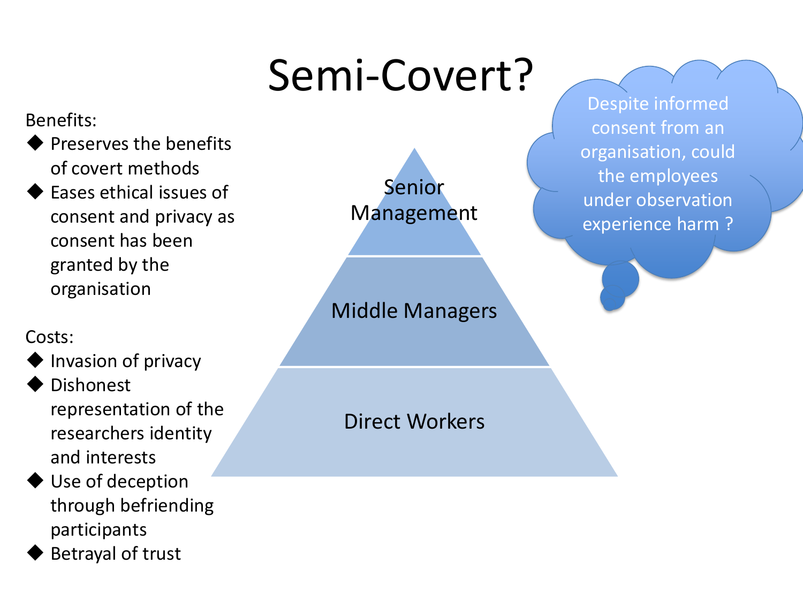# Semi-Covert?

#### Benefits:

- ◆ Preserves the benefits of covert methods
- ◆ Eases ethical issues of consent and privacy as consent has been granted by the organisation

#### Costs:

- ◆ Invasion of privacy
- **Dishonest** representation of the researchers identity and interests
- ◆ Use of deception through befriending participants
- **Betrayal of trust**



### Direct Workers

Despite informed consent from an organisation, could the employees under observation experience harm ?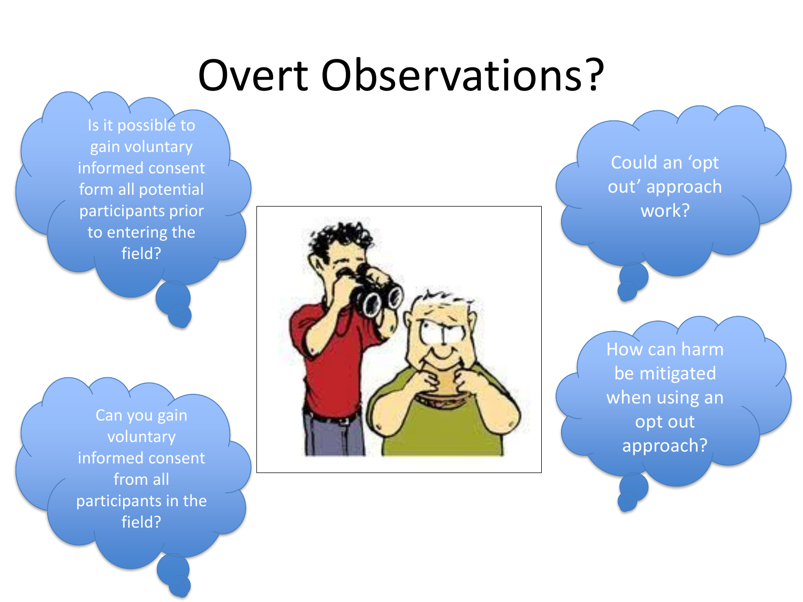### Overt Observations?

Is it possible to gain voluntary informed consent form all potential participants prior to entering the field?

Can you gain voluntary informed consent from all participants in the field?



Could an 'opt out' approach work?

How can harm be mitigated when using an opt out approach?